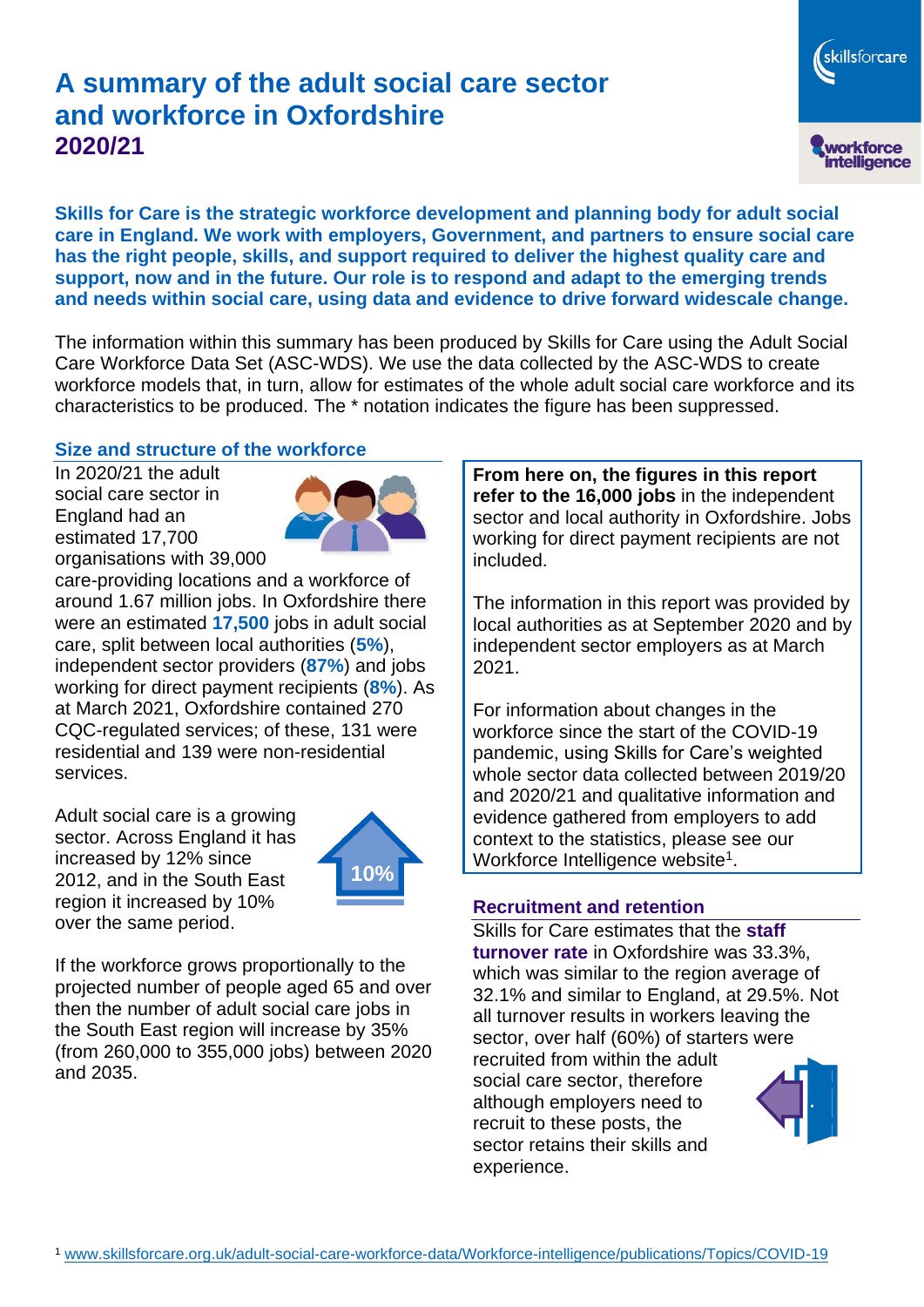# **A summary of the adult social care sector and workforce in Oxfordshire 2020/21**

workforce<br>intelligence **Skills for Care is the strategic workforce development and planning body for adult social** 

skillsforcare

**care in England. We work with employers, Government, and partners to ensure social care has the right people, skills, and support required to deliver the highest quality care and support, now and in the future. Our role is to respond and adapt to the emerging trends and needs within social care, using data and evidence to drive forward widescale change.**

The information within this summary has been produced by Skills for Care using the Adult Social Care Workforce Data Set (ASC-WDS). We use the data collected by the ASC-WDS to create workforce models that, in turn, allow for estimates of the whole adult social care workforce and its characteristics to be produced. The \* notation indicates the figure has been suppressed.

## **Size and structure of the workforce**

In 2020/21 the adult social care sector in England had an estimated 17,700 organisations with 39,000



care-providing locations and a workforce of around 1.67 million jobs. In Oxfordshire there were an estimated **17,500** jobs in adult social care, split between local authorities (**5%**), independent sector providers (**87%**) and jobs working for direct payment recipients (**8%**). As at March 2021, Oxfordshire contained 270 CQC-regulated services; of these, 131 were residential and 139 were non-residential services.

Adult social care is a growing sector. Across England it has increased by 12% since 2012, and in the South East region it increased by 10% over the same period.



If the workforce grows proportionally to the projected number of people aged 65 and over then the number of adult social care jobs in the South East region will increase by 35% (from 260,000 to 355,000 jobs) between 2020 and 2035.

**From here on, the figures in this report refer to the 16,000 jobs** in the independent sector and local authority in Oxfordshire. Jobs working for direct payment recipients are not included.

The information in this report was provided by local authorities as at September 2020 and by independent sector employers as at March 2021.

For information about changes in the workforce since the start of the COVID-19 pandemic, using Skills for Care's weighted whole sector data collected between 2019/20 and 2020/21 and qualitative information and evidence gathered from employers to add context to the statistics, please see our Workforce Intelligence website<sup>1</sup>.

### **Recruitment and retention**

Skills for Care estimates that the **staff turnover rate** in Oxfordshire was 33.3%, which was similar to the region average of 32.1% and similar to England, at 29.5%. Not all turnover results in workers leaving the sector, over half (60%) of starters were recruited from within the adult social care sector, therefore although employers need to recruit to these posts, the sector retains their skills and experience.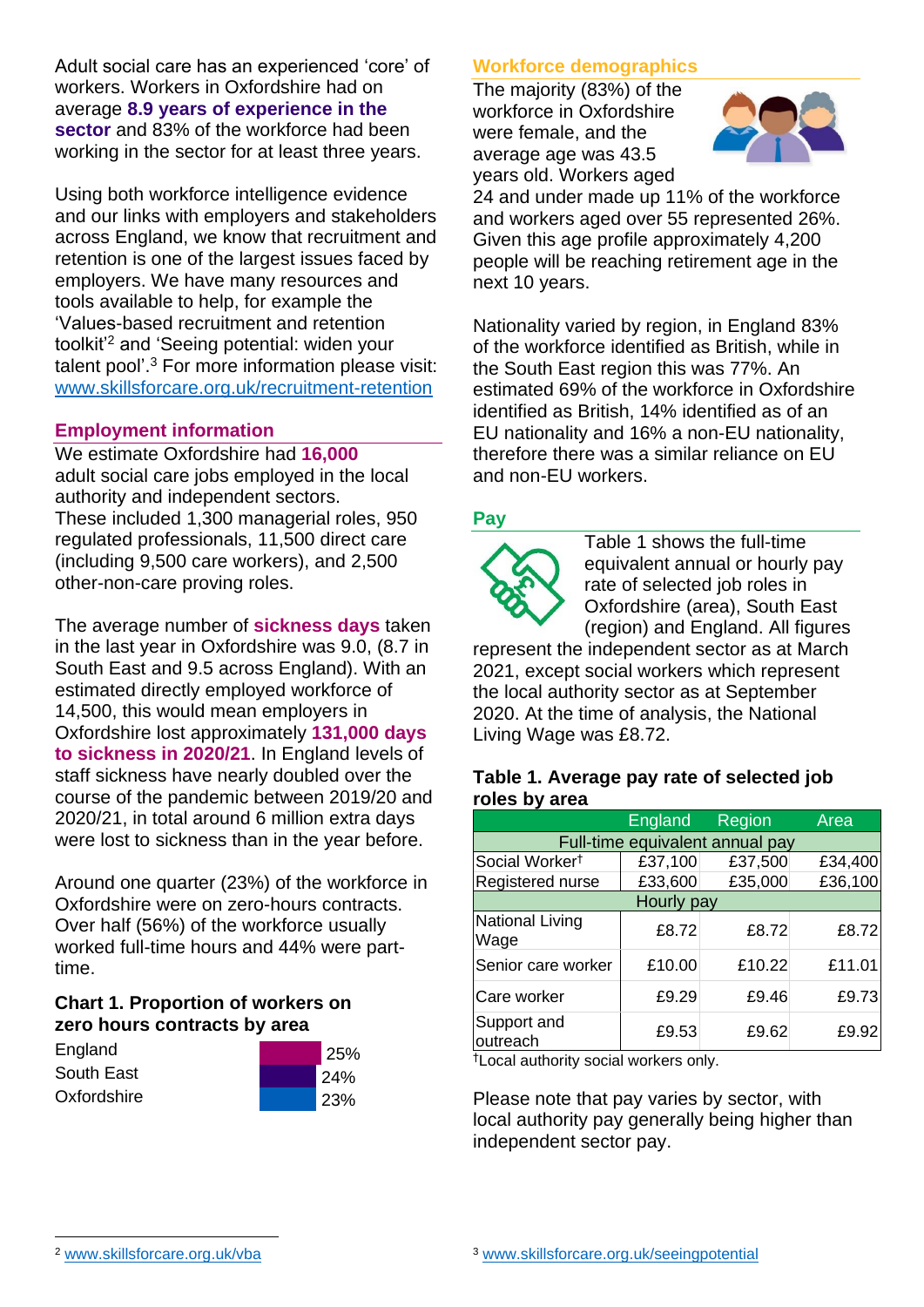Adult social care has an experienced 'core' of workers. Workers in Oxfordshire had on average **8.9 years of experience in the sector** and 83% of the workforce had been working in the sector for at least three years.

Using both workforce intelligence evidence and our links with employers and stakeholders across England, we know that recruitment and retention is one of the largest issues faced by employers. We have many resources and tools available to help, for example the 'Values-based recruitment and retention toolkit'<sup>2</sup> and 'Seeing potential: widen your talent pool'. <sup>3</sup> For more information please visit: [www.skillsforcare.org.uk/recruitment-retention](http://www.skillsforcare.org.uk/recruitment-retention)

### **Employment information**

We estimate Oxfordshire had **16,000** adult social care jobs employed in the local authority and independent sectors. These included 1,300 managerial roles, 950 regulated professionals, 11,500 direct care (including 9,500 care workers), and 2,500 other-non-care proving roles.

The average number of **sickness days** taken in the last year in Oxfordshire was 9.0, (8.7 in South East and 9.5 across England). With an estimated directly employed workforce of 14,500, this would mean employers in Oxfordshire lost approximately **131,000 days to sickness in 2020/21**. In England levels of staff sickness have nearly doubled over the course of the pandemic between 2019/20 and 2020/21, in total around 6 million extra days were lost to sickness than in the year before.

Around one quarter (23%) of the workforce in Oxfordshire were on zero-hours contracts. Over half (56%) of the workforce usually worked full-time hours and 44% were parttime.

### **Chart 1. Proportion of workers on zero hours contracts by area**

| England     | 25%        |
|-------------|------------|
| South East  | <b>24%</b> |
| Oxfordshire | 23%        |

### **Workforce demographics**

The majority (83%) of the workforce in Oxfordshire were female, and the average age was 43.5 years old. Workers aged



24 and under made up 11% of the workforce and workers aged over 55 represented 26%. Given this age profile approximately 4,200 people will be reaching retirement age in the next 10 years.

Nationality varied by region, in England 83% of the workforce identified as British, while in the South East region this was 77%. An estimated 69% of the workforce in Oxfordshire identified as British, 14% identified as of an EU nationality and 16% a non-EU nationality, therefore there was a similar reliance on EU and non-EU workers.

#### **Pay**



Table 1 shows the full-time equivalent annual or hourly pay rate of selected job roles in Oxfordshire (area), South East (region) and England. All figures

represent the independent sector as at March 2021, except social workers which represent the local authority sector as at September 2020. At the time of analysis, the National Living Wage was £8.72.

#### **Table 1. Average pay rate of selected job roles by area**

|                                 | England | Region  | Area    |
|---------------------------------|---------|---------|---------|
| Full-time equivalent annual pay |         |         |         |
| Social Worker <sup>t</sup>      | £37,100 | £37,500 | £34,400 |
| Registered nurse                | £33,600 | £35,000 | £36,100 |
| Hourly pay                      |         |         |         |
| <b>National Living</b><br>Wage  | £8.72   | £8.72   | £8.72   |
| Senior care worker              | £10.00  | £10.22  | £11.01  |
| Care worker                     | £9.29   | £9.46   | £9.73   |
| Support and<br>outreach         | £9.53   | £9.62   | £9.92   |

†Local authority social workers only.

Please note that pay varies by sector, with local authority pay generally being higher than independent sector pay.

[www.skillsforcare.org.uk/vba](http://www.skillsforcare.org.uk/vba)